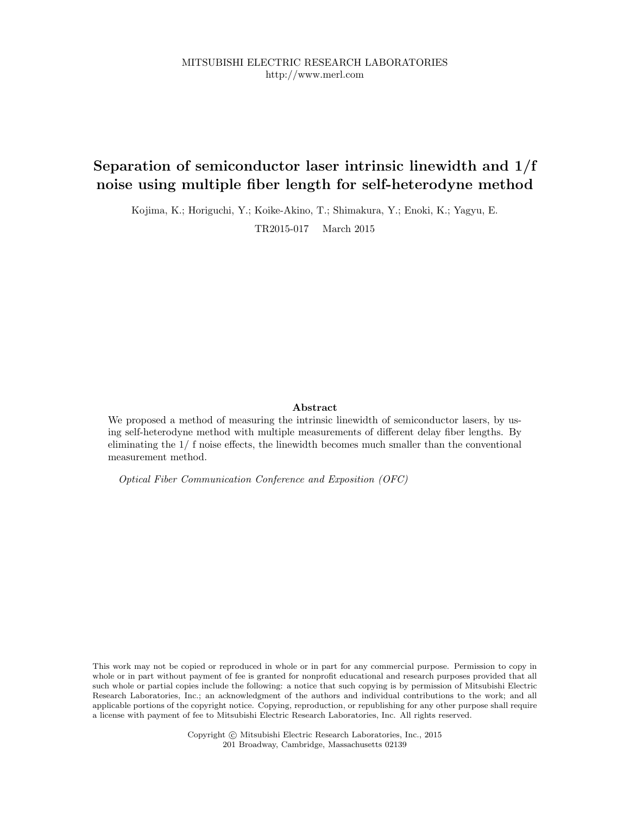MITSUBISHI ELECTRIC RESEARCH LABORATORIES http://www.merl.com

# Separation of semiconductor laser intrinsic linewidth and 1/f noise using multiple fiber length for self-heterodyne method

Kojima, K.; Horiguchi, Y.; Koike-Akino, T.; Shimakura, Y.; Enoki, K.; Yagyu, E. TR2015-017 March 2015

### Abstract

We proposed a method of measuring the intrinsic linewidth of semiconductor lasers, by using self-heterodyne method with multiple measurements of different delay fiber lengths. By eliminating the 1/ f noise effects, the linewidth becomes much smaller than the conventional measurement method.

Optical Fiber Communication Conference and Exposition (OFC)

This work may not be copied or reproduced in whole or in part for any commercial purpose. Permission to copy in whole or in part without payment of fee is granted for nonprofit educational and research purposes provided that all such whole or partial copies include the following: a notice that such copying is by permission of Mitsubishi Electric Research Laboratories, Inc.; an acknowledgment of the authors and individual contributions to the work; and all applicable portions of the copyright notice. Copying, reproduction, or republishing for any other purpose shall require a license with payment of fee to Mitsubishi Electric Research Laboratories, Inc. All rights reserved.

> Copyright © Mitsubishi Electric Research Laboratories, Inc., 2015 201 Broadway, Cambridge, Massachusetts 02139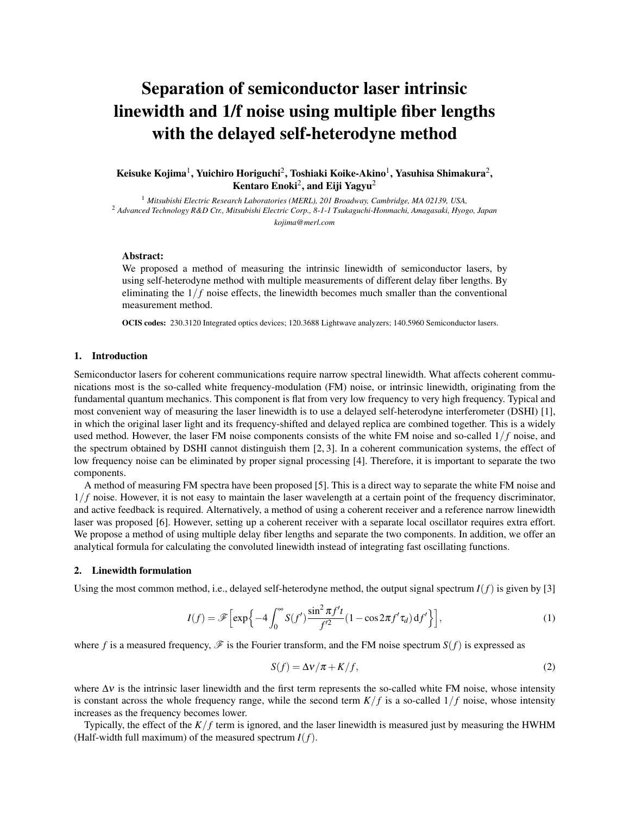# Separation of semiconductor laser intrinsic linewidth and 1/f noise using multiple fiber lengths with the delayed self-heterodyne method

Keisuke Kojima $^1$ , Yuichiro Horiguchi $^2$ , Toshiaki Koike-Akino $^1$ , Yasuhisa Shimakura $^2$ , Kentaro Enoki $^2$ , and Eiji Yagyu $^2$ 

<sup>1</sup> *Mitsubishi Electric Research Laboratories (MERL), 201 Broadway, Cambridge, MA 02139, USA,* <sup>2</sup> *Advanced Technology R&D Ctr., Mitsubishi Electric Corp., 8-1-1 Tsukaguchi-Honmachi, Amagasaki, Hyogo, Japan kojima@merl.com*

# Abstract:

We proposed a method of measuring the intrinsic linewidth of semiconductor lasers, by using self-heterodyne method with multiple measurements of different delay fiber lengths. By eliminating the  $1/f$  noise effects, the linewidth becomes much smaller than the conventional measurement method.

OCIS codes: 230.3120 Integrated optics devices; 120.3688 Lightwave analyzers; 140.5960 Semiconductor lasers.

# 1. Introduction

Semiconductor lasers for coherent communications require narrow spectral linewidth. What affects coherent communications most is the so-called white frequency-modulation (FM) noise, or intrinsic linewidth, originating from the fundamental quantum mechanics. This component is flat from very low frequency to very high frequency. Typical and most convenient way of measuring the laser linewidth is to use a delayed self-heterodyne interferometer (DSHI) [1], in which the original laser light and its frequency-shifted and delayed replica are combined together. This is a widely used method. However, the laser FM noise components consists of the white FM noise and so-called 1/ *f* noise, and the spectrum obtained by DSHI cannot distinguish them [2, 3]. In a coherent communication systems, the effect of low frequency noise can be eliminated by proper signal processing [4]. Therefore, it is important to separate the two components.

A method of measuring FM spectra have been proposed [5]. This is a direct way to separate the white FM noise and  $1/f$  noise. However, it is not easy to maintain the laser wavelength at a certain point of the frequency discriminator, and active feedback is required. Alternatively, a method of using a coherent receiver and a reference narrow linewidth laser was proposed [6]. However, setting up a coherent receiver with a separate local oscillator requires extra effort. We propose a method of using multiple delay fiber lengths and separate the two components. In addition, we offer an analytical formula for calculating the convoluted linewidth instead of integrating fast oscillating functions.

### 2. Linewidth formulation

Using the most common method, i.e., delayed self-heterodyne method, the output signal spectrum  $I(f)$  is given by [3]

$$
I(f) = \mathscr{F}\left[\exp\left\{-4\int_0^\infty S(f')\frac{\sin^2 \pi f'}{f'^2} (1 - \cos 2\pi f' \tau_d) \, \mathrm{d}f'\right\}\right],\tag{1}
$$

where f is a measured frequency,  $\mathscr F$  is the Fourier transform, and the FM noise spectrum  $S(f)$  is expressed as

$$
S(f) = \Delta v / \pi + K / f,\tag{2}
$$

where  $\Delta v$  is the intrinsic laser linewidth and the first term represents the so-called white FM noise, whose intensity is constant across the whole frequency range, while the second term  $K/f$  is a so-called  $1/f$  noise, whose intensity increases as the frequency becomes lower.

Typically, the effect of the  $K/f$  term is ignored, and the laser linewidth is measured just by measuring the HWHM (Half-width full maximum) of the measured spectrum *I*(*f*).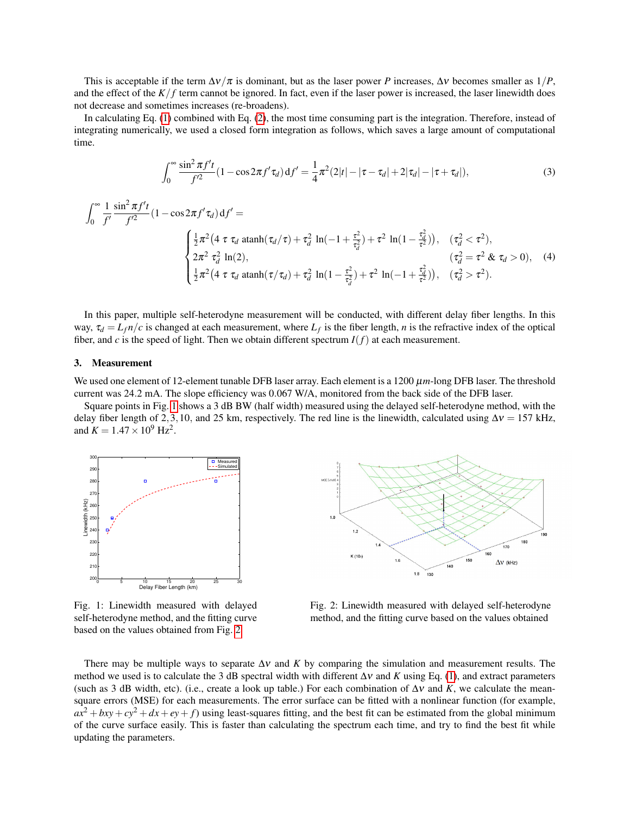This is acceptable if the term  $\Delta v/\pi$  is dominant, but as the laser power *P* increases,  $\Delta v$  becomes smaller as  $1/P$ , and the effect of the  $K/f$  term cannot be ignored. In fact, even if the laser power is increased, the laser linewidth does not decrease and sometimes increases (re-broadens).

In calculating Eq. (1) combined with Eq. (2), the most time consuming part is the integration. Therefore, instead of integrating numerically, we used a closed form integration as follows, which saves a large amount of computational time.

$$
\int_0^\infty \frac{\sin^2 \pi f' t}{f'^2} (1 - \cos 2\pi f' \tau_d) \, \mathrm{d} f' = \frac{1}{4} \pi^2 (2|t| - |\tau - \tau_d| + 2|\tau_d| - |\tau + \tau_d|),\tag{3}
$$

$$
\int_0^\infty \frac{1}{f'} \frac{\sin^2 \pi f' t}{f'^2} (1 - \cos 2\pi f' \tau_d) df' =
$$
\n
$$
\begin{cases}\n\frac{1}{2} \pi^2 (4 \tau \tau_d \operatorname{atanh}(\tau_d/\tau) + \tau_d^2 \ln(-1 + \frac{\tau^2}{\tau_d^2}) + \tau^2 \ln(1 - \frac{\tau_d^2}{\tau^2})), & (\tau_d^2 < \tau^2), \\
2\pi^2 \tau_d^2 \ln(2), & (\tau_d^2 = \tau^2 \& \tau_d > 0), \\
\frac{1}{2} \pi^2 (4 \tau \tau_d \operatorname{atanh}(\tau/\tau_d) + \tau_d^2 \ln(1 - \frac{\tau^2}{\tau_d^2}) + \tau^2 \ln(-1 + \frac{\tau_d^2}{\tau^2})), & (\tau_d^2 > \tau^2).\n\end{cases}
$$
\n(4)

In this paper, multiple self-heterodyne measurement will be conducted, with different delay fiber lengths. In this way,  $\tau_d = L_f n/c$  is changed at each measurement, where  $L_f$  is the fiber length, *n* is the refractive index of the optical fiber, and *c* is the speed of light. Then we obtain different spectrum  $I(f)$  at each measurement.

#### 3. Measurement

We used one element of 12-element tunable DFB laser array. Each element is a  $1200 \mu m$ -long DFB laser. The threshold current was 24.2 mA. The slope efficiency was 0.067 W/A, monitored from the back side of the DFB laser.

Square points in Fig. 1 shows a 3 dB BW (half width) measured using the delayed self-heterodyne method, with the delay fiber length of 2,3,10, and 25 km, respectively. The red line is the linewidth, calculated using  $\Delta v = 157$  kHz, and  $K = 1.47 \times 10^9$  Hz<sup>2</sup>.



Fig. 1: Linewidth measured with delayed self-heterodyne method, and the fitting curve based on the values obtained from Fig. 2



Fig. 2: Linewidth measured with delayed self-heterodyne method, and the fitting curve based on the values obtained

There may be multiple ways to separate  $\Delta v$  and *K* by comparing the simulation and measurement results. The method we used is to calculate the 3 dB spectral width with different  $\Delta v$  and *K* using Eq. (1), and extract parameters (such as 3 dB width, etc). (i.e., create a look up table.) For each combination of  $\Delta v$  and K, we calculate the meansquare errors (MSE) for each measurements. The error surface can be fitted with a nonlinear function (for example,  $ax^2 + bxy + cy^2 + dx + ey + f$  using least-squares fitting, and the best fit can be estimated from the global minimum of the curve surface easily. This is faster than calculating the spectrum each time, and try to find the best fit while updating the parameters.